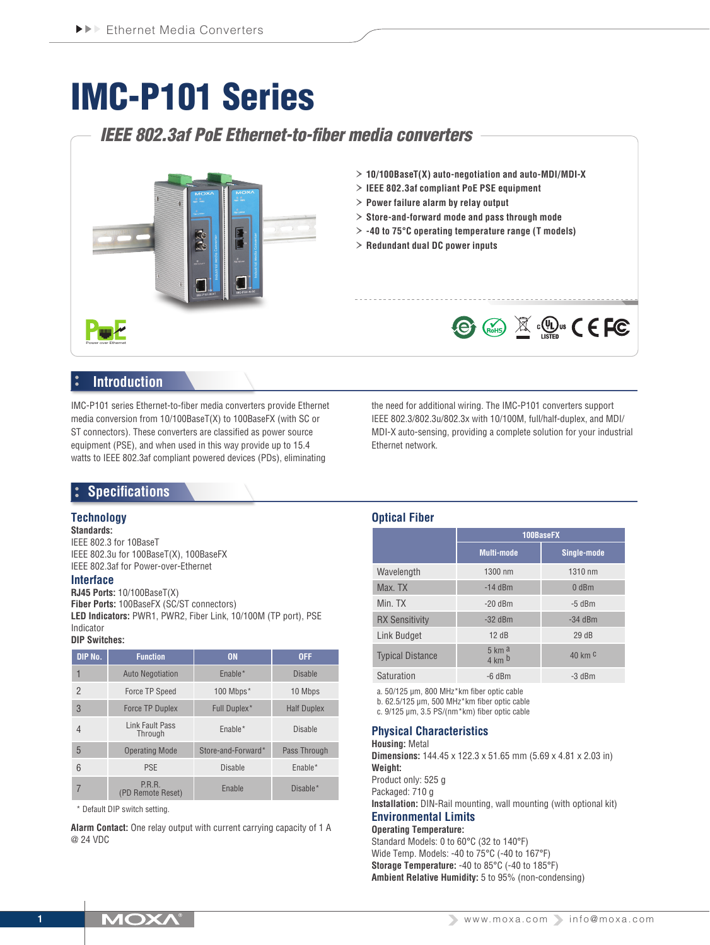# IMC-P101 Series

## *IEEE 802.3af PoE Ethernet-to-fiber media converters*



## **Introduction**

IMC-P101 series Ethernet-to-fiber media converters provide Ethernet media conversion from 10/100BaseT(X) to 100BaseFX (with SC or ST connectors). These converters are classified as power source equipment (PSE), and when used in this way provide up to 15.4 watts to IEEE 802.3af compliant powered devices (PDs), eliminating

the need for additional wiring. The IMC-P101 converters support IEEE 802.3/802.3u/802.3x with 10/100M, full/half-duplex, and MDI/ MDI-X auto-sensing, providing a complete solution for your industrial Ethernet network.

## **Specifications**

#### **Technology**

**Standards:** IEEE 802.3 for 10BaseT IEEE 802.3u for 100BaseT(X), 100BaseFX IEEE 802.3af for Power-over-Ethernet

#### **Interface**

**RJ45 Ports:** 10/100BaseT(X) **Fiber Ports:** 100BaseFX (SC/ST connectors) **LED Indicators:** PWR1, PWR2, Fiber Link, 10/100M (TP port), PSE Indicator

#### **DIP Switches:**

| DIP No.        | <b>Function</b>             | <b>ON</b>          | <b>OFF</b>         |
|----------------|-----------------------------|--------------------|--------------------|
|                | <b>Auto Negotiation</b>     | Enable*            | <b>Disable</b>     |
| $\mathfrak{p}$ | Force TP Speed              | 100 Mbps*          | 10 Mbps            |
| 3              | <b>Force TP Duplex</b>      | Full Duplex*       | <b>Half Duplex</b> |
| 4              | Link Fault Pass<br>Through  | $Enable*$          | <b>Disable</b>     |
| 5              | <b>Operating Mode</b>       | Store-and-Forward* | Pass Through       |
| 6              | <b>PSE</b>                  | <b>Disable</b>     | $Enable*$          |
|                | P.R.R.<br>(PD Remote Reset) | Enable             | Disable*           |

\* Default DIP switch setting.

**Alarm Contact:** One relay output with current carrying capacity of 1 A @ 24 VDC

#### **Optical Fiber**

|                         | 100BaseFX                                       |                    |  |  |
|-------------------------|-------------------------------------------------|--------------------|--|--|
|                         | <b>Multi-mode</b>                               | Single-mode        |  |  |
| Wavelength              | 1300 nm                                         | 1310 nm            |  |  |
| Max. TX                 | $-14$ dBm                                       | 0 <sub>dBm</sub>   |  |  |
| Min. TX                 | $-20$ dBm                                       | $-5$ dBm           |  |  |
| <b>RX Sensitivity</b>   | $-32$ dBm                                       | $-34$ dBm          |  |  |
| <b>Link Budget</b>      | 12dB                                            | 29dB               |  |  |
| <b>Typical Distance</b> | $5 \text{ km}$ a<br>$4 \text{ km}$ <sub>b</sub> | 40 km <sup>C</sup> |  |  |
| Saturation              | $-6$ dBm                                        | $-3$ dBm           |  |  |

a. 50/125 μm, 800 MHz\*km fiber optic cable

b. 62.5/125 μm, 500 MHz\*km fiber optic cable

c. 9/125 μm, 3.5 PS/(nm\*km) fiber optic cable

#### **Physical Characteristics**

**Housing:** Metal **Dimensions:** 144.45 x 122.3 x 51.65 mm (5.69 x 4.81 x 2.03 in) **Weight:**

Product only: 525 g Packaged: 710 g

**Installation:** DIN-Rail mounting, wall mounting (with optional kit) **Environmental Limits**

#### **Operating Temperature:**

Standard Models: 0 to 60°C (32 to 140°F) Wide Temp. Models: -40 to 75°C (-40 to 167°F) **Storage Temperature:** -40 to 85°C (-40 to 185°F) **Ambient Relative Humidity:** 5 to 95% (non-condensing)